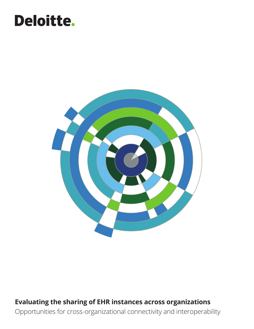# Deloitte.



### **Evaluating the sharing of EHR instances across organizations**  Opportunities for cross-organizational connectivity and interoperability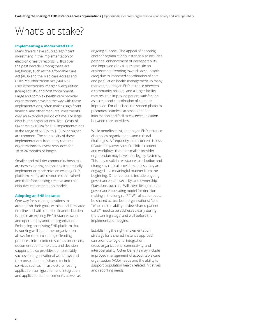### What's at stake?

#### **Implementing a modernized EHR**

Many drivers have spurred significant investment in the implementation of electronic health records (EHRs) over the past decade. Among these are legislation, such as the Affordable Care Act (ACA) and the Medicare Access and CHIP Reauthorization Act (MACRA), user expectations, merger & acquisition (M&A) activity, and cost containment. Large and complex health care provider organizations have led the way with these implementations, often making significant financial and other resource investments over an extended period of time. For large, distributed organizations, Total Costs of Ownership (TCOs) for EHR implementations in the range of \$150M to \$500M or higher are common. The complexity of these implementations frequently requires organizations to invest resources for 18 to 24 months or longer.

Smaller and mid-tier community hospitals are now exploring options to either initially implement or modernize an existing EHR platform. Many are resource constrained and therefore seeking creative and costeffective implementation models.

#### **Adopting an EHR instance**

One way for such organizations to accomplish their goals within an abbreviated timeline and with reduced financial burden is to join an existing EHR instance owned and operated by another organization. Embracing an existing EHR platform that is working well in another organization allows for rapid co-opting of leading practice clinical content, such as order sets, documentation templates, and decision support. It also provides demonstrably successful organizational workflows and the consolidation of shared technical services such as infrastructure hosting, application configuration and integration, and application enhancements, as well as

ongoing support. The appeal of adopting another organization's instance also includes potential enhancement of interoperability and improved clinical outcomes (in an environment trending towards accountable care) due to improved coordination of care and population health management. In many markets, sharing an EHR instance between a community hospital and a larger facility may result in improved patient satisfaction as access and coordination of care are improved. For clinicians, the shared platform promotes seamless access to patient information and facilitates communication between care providers.

While benefits exist, sharing an EHR instance also poses organizational and cultural challenges. A frequently cited concern is loss of autonomy over specific clinical content and workflows that the smaller provider organization may have in its legacy systems. This may result in resistance to adoption and change by clinical providers, unless they are engaged in a meaningful manner from the beginning. Other concerns include ongoing governance, data security, and ownership. Questions such as, "Will there be a joint data governance operating model for decision making in the long run?," "Will all patient data be shared across both organizations?" and "Who has the ability to view shared patient data?" need to be addressed early during the planning stage, and well before the implementation begins.

Establishing the right implementation strategy for a shared instance approach can promote regional integration, cross-organizational connectivity, and interoperability. Other benefits may include improved management of accountable care organization (ACO) needs and the ability to support population health related initiatives and reporting needs.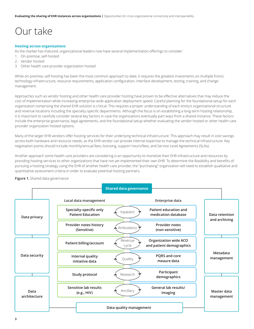## Our take

#### **Hosting across organizations**

As the market has matured, organizational leaders now have several implementation offerings to consider:

- 1. On-premise, self-hosted
- 2. Vendor hosted
- 3. Other health care provider organization hosted

While on-premise, self-hosting has been the most common approach to date, it requires the greatest investments on multiple fronts: technology infrastructure, resource requirements, application configuration, interface development, testing, training, and change management.

Approaches such as vendor hosting and other health care provider hosting have proven to be effective alternatives that may reduce the cost of implementation while increasing enterprise-wide application deployment speed. Careful planning for the foundational setup for each organization comprising the shared EHR solution is critical. This requires a proper understanding of each entity's organizational structure and revenue locations including the specialty-specific departments. Although the focus is on establishing a long-term hosting relationship, it is important to carefully consider several key factors in case the organizations eventually part ways from a shared instance. These factors include the enterprise governance, legal agreements, and the foundational setup whether evaluating the vendor hosted or other health care provider organization hosted options.

Many of the larger EHR vendors offer hosting services for their underlying technical infrastructure. This approach may result in cost savings across both hardware and resource needs, as the EHR vendor can provide internal expertise to manage the technical infrastructure. Key negotiation points should include monthly/annual fees, licensing, support hours/fees, and Service Level Agreements (SLAs).

Another approach some health care providers are considering is an opportunity to monetize their EHR infrastructure and resources by providing hosting services to other organizations that have not yet implemented their own EHR. To determine the feasibility and benefits of pursuing a hosting strategy using the EHR of another health care provider, the "purchasing" organization will need to establish qualitative and quantitative assessment criteria in order to evaluate potential hosting partners.

#### **Figure 1.** Shared data governance

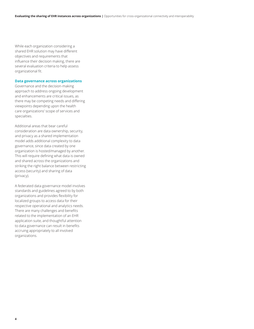While each organization considering a shared EHR solution may have different objectives and requirements that influence their decision making, there are several evaluation criteria to help assess organizational fit.

#### **Data governance across organizations**

Governance and the decision-making approach to address ongoing development and enhancements are critical issues, as there may be competing needs and differing viewpoints depending upon the health care organizations' scope of services and specialties.

Additional areas that bear careful consideration are data ownership, security, and privacy as a shared implementation model adds additional complexity to data governance, since data created by one organization is hosted/managed by another. This will require defining what data is owned and shared across the organizations and striking the right balance between restricting access (security) and sharing of data (privacy).

A federated data governance model involves standards and guidelines agreed to by both organizations and provides flexibility for localized groups to access data for their respective operational and analytics needs. There are many challenges and benefits related to the implementation of an EHR application suite, and thoughtful attention to data governance can result in benefits accruing appropriately to all involved organizations.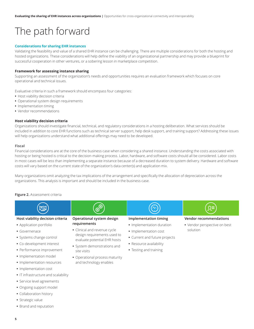## The path forward

#### **Considerations for sharing EHR instances**

Validating the feasibility and value of a shared EHR instance can be challenging. There are multiple considerations for both the hosting and hosted organizations. These considerations will help define the viability of an organizational partnership and may provide a blueprint for successful cooperation in other ventures, or a sobering lesson in marketplace competition.

#### **Framework for assessing instance sharing**

Supporting an assessment of the organization's needs and opportunities requires an evaluation framework which focuses on core operational and technical issues.

Evaluative criteria in such a framework should encompass four categories:

- **•** Host viability decision criteria
- **•** Operational system design requirements
- **•** Implementation timing
- **•** Vendor recommendations

#### **Host viability decision criteria**

Organizations should investigate financial, technical, and regulatory considerations in a hosting deliberation. What services should be included in addition to core EHR functions such as technical server support, help desk support, and training support? Addressing these issues will help organizations understand what additional offerings may need to be developed.

#### **Fiscal**

Financial considerations are at the core of the business case when considering a shared instance. Understanding the costs associated with hosting or being hosted is critical to the decision-making process. Labor, hardware, and software costs should all be considered. Labor costs in most cases will be less than implementing a separate instance because of a decreased duration to system delivery. Hardware and software costs will vary based on the current state of the organization's data center(s) and application mix.

Many organizations omit analyzing the tax implications of the arrangement and specifically the allocation of depreciation across the organizations. This analysis is important and should be included in the business case.

#### **Figure 2.** Assessment criteria



### **•** Strategic value

**•** Implementation cost

**•** IT infrastructure and scalability **•** Service level agreements **•** Ongoing support model **•** Collaboration history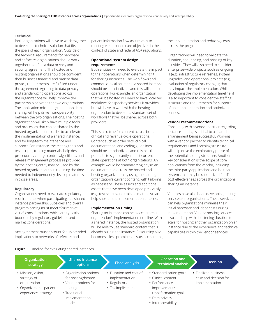#### **Technical**

Both organizations will have to work together to develop a technical solution that fits the goals of each organization. Outside of the technical requirements for hardware and software, organizations should work together to define a data privacy and security agreement. The hosted and hosting organizations should be confident their business financial and patient data privacy requirements are fulfilled under the agreement. Agreeing to data privacy and standardizing operations across the organizations will help improve the partnership between the two organizations. The application mix and agreed upon data sharing will help drive interoperability between the two organizations. The hosting organization will likely have multiple tools and processes that can be shared by the hosted organization in order to accelerate the implementation of a shared instance, and for long-term maintenance and support. For instance, the testing tools and test scripts, training materials, help desk procedures, change control algorithms, and release management processes provided by the hosting entity may be used by the hosted organization, thus reducing the time needed to independently develop materials in those areas.

#### **Regulatory**

Organizations need to evaluate regulatory requirements when participating in a shared instance partnership. Subsidies and overall program pricing must meet "fair market value" considerations, which are typically bounded by regulatory guidelines and market considerations.

Any agreement must account for unintended implications to networks of referrals and

patient information flow as it relates to meeting value-based care objectives in the context of state and federal ACA regulations.

#### **Operational system design requirements**

Both entities will need to evaluate the impact to their operations when determining fit for sharing instances. The workflows and common clinical content in a shared instance should be standardized, and this will impact operations. For example, an organization that will be hosted will need to have localized workflows for specialty services it provides, but will have to work with the hosting organization to develop a standard set of workflows that will be shared across both providers.

This is also true for content across both clinical and revenue cycle operations. Content such as order sets, clinical documentation, and coding guidelines should be standardized, and this has the potential to significantly impact current state operations at both organizations. An example would be standardizing physician documentation across the hosted and hosting organization by using the hosting organization's current content, with tailoring as necessary. These assets and additional assets that have been developed previously (e.g., test scripts and training materials) can help shorten the implementation timeline.

#### **Implementation timing**

Sharing an instance can help accelerate an organization's implementation timeline. With a shared instance, the hosted organization will be able to use standard content that is already built in the instance. Resourcing also becomes a less prominent issue, accelerating the implementation and reducing costs across the program.

Organizations will need to validate the duration, sequencing, and phasing of key activities. They will also need to consider enterprise-wide projects such as ongoing IT (e.g., infrastructure refreshes, system upgrades) and operational projects (e.g., evaluation of regulatory changes) that may impact the implementation. While developing the implementation timeline, it is also important to consider the staffing structure and requirements for support of post-implementation and optimization phases.

#### **Vendor recommendations**

Consulting with a vendor partner regarding instance sharing is critical to a shared arrangement being successful. Working with a vendor partner to identify technical requirements and licensing structure will help drive the exploratory phase of the potential hosting structure. Another key consideration is the scope of core applications from the vendor, including the third party applications and bolt-on systems that may be rationalized for IT cost effectiveness across the organizations sharing an instance.

Vendors have also been developing hosting services for organizations. These services can help organizations minimize their initial hardware and labor costs during implementation. Vendor hosting services also can help with shortening duration to scale for hosting another organization on an instance due to the experience and technical capabilities within the vendor services.

**Figure 3.** Timeline for evaluating shared instances

| Organization<br>strategy                                                                             | <b>Shared instance</b><br>options                                                                                           | <b>Fiscal analysis</b>                                                         | Operation and<br>techinical analysis                                                                                                           | <b>Decision</b>                                                 |
|------------------------------------------------------------------------------------------------------|-----------------------------------------------------------------------------------------------------------------------------|--------------------------------------------------------------------------------|------------------------------------------------------------------------------------------------------------------------------------------------|-----------------------------------------------------------------|
| • Mission, vision,<br>strategy of<br>organization<br>• Organizational patient<br>experience strategy | • Organization options<br>for hosting/hosted<br>• Vendor options for<br>hosting<br>• Traditional<br>implementation<br>model | • Duration and cost of<br>implementation<br>• Regulatory<br>• Tax implications | • Standardization goals<br>• Clinical content<br>• Performance<br>improvement/<br>transformation goals<br>• Data privacy<br>• Interoperability | • Finalized business<br>case and decision for<br>implementation |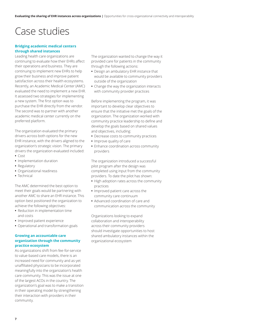### Case studies

#### **Bridging academic medical centers through shared instances**

Leading health care organizations are continuing to evaluate how their EHRs affect their operations and business. They are continuing to implement new EHRs to help grow their business and improve patient satisfaction across their health ecosystems. Recently, an Academic Medical Center (AMC) evaluated the need to implement a new EHR. It assessed two strategies for implementing a new system. The first option was to purchase the EHR directly from the vendor. The second was to partner with another academic medical center currently on the preferred platform.

The organization evaluated the primary drivers across both options for the new EHR instance, with the drivers aligned to the organization's strategic vision. The primary drivers the organization evaluated included:

- **•** Cost
- **•** Implementation duration
- **•** Regulatory
- **•** Organizational readiness
- **•** Technical

The AMC determined the best option to meet their goals would be partnering with another AMC to share an EHR instance. This option best positioned the organization to achieve the following objectives:

- **•** Reduction in implementation time and costs
- **•** Improved patient experience
- **•** Operational and transformation goals

#### **Growing an accountable care organization through the community practice ecosystem**

As organizations shift from fee-for-service to value-based care models, there is an increased need for community and as-yet unaffiliated physicians to be incorporated meaningfully into the organization's health care community. This was the issue at one of the largest ACOs in the country. The organization's goal was to make a transition in their operating model by strengthening their interaction with providers in their community.

The organization wanted to change the way it provided care for patients in the community through the following actions:

- **•** Design an ambulatory EHR instance that would be available to community providers outside of the organization
- **•** Change the way the organization interacts with community provider practices

Before implementing the program, it was important to develop clear objectives to ensure that the initiative met the goals of the organization. The organization worked with community practice leadership to define and develop the goals based on shared values and objectives, including:

- **•** Decrease costs to community practices
- **•** Improve quality of care
- **•** Enhance coordination across community providers

The organization introduced a successful pilot program after the design was completed using input from the community providers. To date the pilot has shown:

- **•** High adoption rates across the community practices
- **•** Improved patient care across the community care continuum
- **•** Advanced coordination of care and communication across the community

Organizations looking to expand collaboration and interoperability across their community providers should investigate opportunities to host shared ambulatory instances within the organizational ecosystem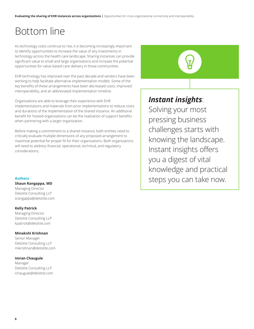## Bottom line

As technology costs continue to rise, it is becoming increasingly important to identify opportunities to increase the value of any investments in technology across the health care landscape. Sharing instances can provide significant value to small and large organizations and increase the potential opportunities for value-based care delivery in those communities.

EHR technology has improved over the past decade and vendors have been working to help facilitate alternative implementation models. Some of the key benefits of these arrangements have been decreased costs, improved interoperability, and an abbreviated implementation timeline.

Organizations are able to leverage their experience with EHR implementations and materials from prior implementations to reduce costs and durations of the implementation of the shared instance. An additional benefit for hosted organizations can be the realization of support benefits when partnering with a larger organization.

Before making a commitment to a shared instance, both entities need to critically evaluate multiple dimensions of any proposed arrangement to maximize potential for proper fit for their organizations. Both organizations will need to address financial, operational, technical, and regulatory considerations.

#### **Authors**

#### **Shaun Rangappa, MD**

Managing Director Deloitte Consulting LLP srangappa@deloitte.com

#### **Kelly Patrick**

Managing Director Deloitte Consulting LLP kpatrick@deloitte.com

#### **Minakshi Krishnan**

Senior Manager Deloitte Consulting LLP mikrishnan@deloitte.com

#### **Imran Chaugule**

Manager Deloitte Consulting LLP ichaugule@deloitte.com

### *Instant insights*:

Solving your most pressing business challenges starts with knowing the landscape. Instant insights offers you a digest of vital knowledge and practical steps you can take now.